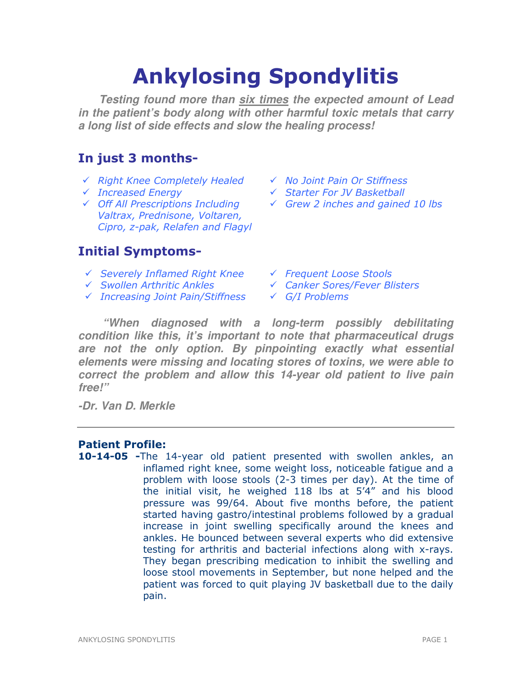# Ankylosing Spondylitis

**Testing found more than six times the expected amount of Lead in the patient's body along with other harmful toxic metals that carry a long list of side effects and slow the healing process!** 

# In just 3 months-

- $\checkmark$  Right Knee Completely Healed  $\checkmark$  No Joint Pain Or Stiffness
- 
- Off All Prescriptions Including Valtrax, Prednisone, Voltaren, Cipro, z-pak, Relafen and Flagyl

# Initial Symptoms-

- $\checkmark$  Severely Inflamed Right Knee  $\checkmark$  Frequent Loose Stools
- 
- $\checkmark$  Increasing Joint Pain/Stiffness  $\checkmark$  G/I Problems
- 
- Increased Energy Starter For JV Basketball
	- $\checkmark$  Grew 2 inches and gained 10 lbs
	-
- Swollen Arthritic Ankles Canker Sores/Fever Blisters
	-

**"When diagnosed with a long-term possibly debilitating condition like this, it's important to note that pharmaceutical drugs are not the only option. By pinpointing exactly what essential elements were missing and locating stores of toxins, we were able to correct the problem and allow this 14-year old patient to live pain free!"** 

**-Dr. Van D. Merkle** 

# Patient Profile:

10-14-05 -The 14-year old patient presented with swollen ankles, an inflamed right knee, some weight loss, noticeable fatigue and a problem with loose stools (2-3 times per day). At the time of the initial visit, he weighed 118 lbs at 5'4" and his blood pressure was 99/64. About five months before, the patient started having gastro/intestinal problems followed by a gradual increase in joint swelling specifically around the knees and ankles. He bounced between several experts who did extensive testing for arthritis and bacterial infections along with x-rays. They began prescribing medication to inhibit the swelling and loose stool movements in September, but none helped and the patient was forced to quit playing JV basketball due to the daily pain.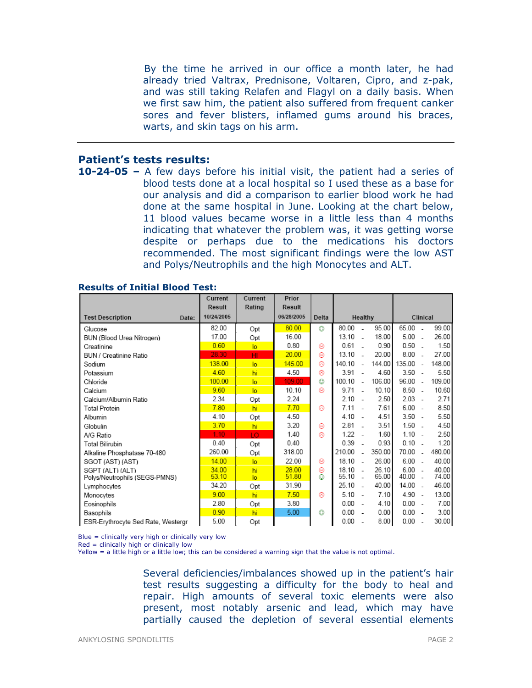By the time he arrived in our office a month later, he had already tried Valtrax, Prednisone, Voltaren, Cipro, and z-pak, and was still taking Relafen and Flagyl on a daily basis. When we first saw him, the patient also suffered from frequent canker sores and fever blisters, inflamed gums around his braces, warts, and skin tags on his arm.

## Patient's tests results:

10-24-05 – A few days before his initial visit, the patient had a series of blood tests done at a local hospital so I used these as a base for our analysis and did a comparison to earlier blood work he had done at the same hospital in June. Looking at the chart below, 11 blood values became worse in a little less than 4 months indicating that whatever the problem was, it was getting worse despite or perhaps due to the medications his doctors recommended. The most significant findings were the low AST and Polys/Neutrophils and the high Monocytes and ALT.

|                                    | Current<br><b>Result</b> | Current<br>Rating | Prior<br><b>Result</b> |       |        |                |        |        |                          |        |
|------------------------------------|--------------------------|-------------------|------------------------|-------|--------|----------------|--------|--------|--------------------------|--------|
| <b>Test Description</b><br>Date:   | 10/24/2005               |                   | 06/28/2005             | Delta |        | Healthy        |        |        | Clinical                 |        |
| Glucose                            | 82.00                    | Opt               | 80.00                  | ٥     | 80.00  |                | 95.00  | 65.00  |                          | 99.00  |
| BUN (Blood Urea Nitrogen)          | 17.00                    | Opt               | 16.00                  |       | 13.10  |                | 18.00  | 5.00   | $\overline{a}$           | 26.00  |
| Creatinine                         | 0.60                     | $\overline{a}$    | 0.80                   | ⊛     | 0.61   |                | 0.90   | 0.50   |                          | 1.50   |
| BUN / Creatinine Ratio             | 28.30                    | HI                | 20.00                  | ⊛     | 13.10  |                | 20.00  | 8.00   | $\overline{a}$           | 27.00  |
| Sodium                             | 138.00                   | $\overline{a}$    | 145.00                 | 0     | 140.10 | $\sim$         | 144.00 | 135.00 | $\sim$                   | 148.00 |
| Potassium                          | 4.60                     | hi                | 4.50                   | ⊛     | 3.91   |                | 4.60   | 3.50   | $\sim$                   | 5.50   |
| Chloride                           | 100.00                   | $\overline{a}$    | 109.00                 | O     | 100.10 | ÷.             | 106.00 | 96.00  | ÷.                       | 109.00 |
| Calcium                            | 9.60                     | $\overline{a}$    | 10.10                  | ⊛     | 9.71   | $\sim$         | 10.10  | 8.50   | $\sim$                   | 10.60  |
| Calcium/Albumin Ratio              | 2.34                     | Opt               | 2.24                   |       | 2.10   |                | 2.50   | 2.03   | $\sim$                   | 2.71   |
| <b>Total Protein</b>               | 7.80                     | hi                | 7.70                   | ⊛     | 7.11   |                | 7.61   | 6.00   | $\sim$                   | 8.50   |
| Albumin                            | 4.10                     | Opt               | 4.50                   |       | 4.10   |                | 4.51   | 3.50   | $\sim$                   | 5.50   |
| Globulin                           | 3.70                     | hi                | 3.20                   | ⊛     | 2.81   | $\overline{a}$ | 3.51   | 1.50   | $\overline{\phantom{a}}$ | 4.50   |
| A/G Ratio                          | 1.10                     | LO                | 1.40                   | ⊛     | 1.22   |                | 1.60   | 1.10   |                          | 2.50   |
| <b>Total Bilirubin</b>             | 0.40                     | Opt               | 0.40                   |       | 0.39   |                | 0.93   | 0.10   |                          | 1.20   |
| Alkaline Phosphatase 70-480        | 260.00                   | Opt               | 318.00                 |       | 210.00 |                | 350.00 | 70.00  | $\overline{a}$           | 480.00 |
| SGOT (AST) (AST)                   | 14.00                    | $\overline{a}$    | 22.00                  | ⊛     | 18.10  | $\overline{a}$ | 26.00  | 6.00   | $\overline{\phantom{a}}$ | 40.00  |
| SGPT (ALT) (ALT)                   | 34.00                    | hi                | 28.00                  | ⊛     | 18.10  |                | 26.10  | 6.00   | $\overline{\phantom{a}}$ | 40.00  |
| Polys/Neutrophils (SEGS-PMNS)      | 53.10                    | $\overline{a}$    | 51.80                  | ٨     | 55.10  |                | 65.00  | 40.00  |                          | 74.00  |
| Lymphocytes                        | 34.20                    | Opt               | 31.90                  |       | 25.10  |                | 40.00  | 14.00  | $\overline{a}$           | 46.00  |
| Monocytes                          | 9.00                     | hi                | 7.50                   | ⊛     | 5.10   | $\sim$         | 7.10   | 4.90   | $\sim$                   | 13.00  |
| Eosinophils                        | 2.80                     | Opt               | 3.80                   |       | 0.00   |                | 4.10   | 0.00   | $\sim$                   | 7.00   |
| Basophils                          | 0.90                     | hi                | 5.00                   | o     | 0.00   |                | 0.00   | 0.00   | ÷.                       | 3.00   |
| ESR-Erythrocyte Sed Rate, Westergr | 5.00                     | Opt               |                        |       | 0.00   |                | 8.00   | 0.00   |                          | 30.00  |

#### Results of Initial Blood Test:

 $Blue = clinically$  very high or clinically very low

 $Red =$  clinically high or clinically low

Yellow = a little high or a little low; this can be considered a warning sign that the value is not optimal.

Several deficiencies/imbalances showed up in the patient's hair test results suggesting a difficulty for the body to heal and repair. High amounts of several toxic elements were also present, most notably arsenic and lead, which may have partially caused the depletion of several essential elements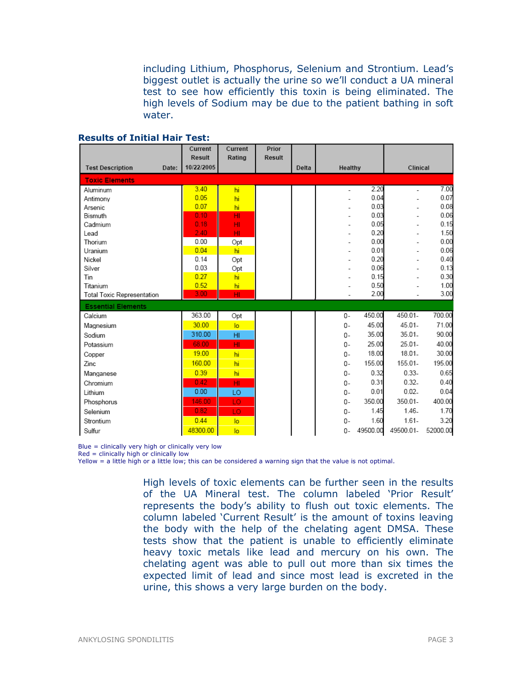including Lithium, Phosphorus, Selenium and Strontium. Lead's biggest outlet is actually the urine so we'll conduct a UA mineral test to see how efficiently this toxin is being eliminated. The high levels of Sodium may be due to the patient bathing in soft water.

|                                  | Current<br>Result | Current<br>Rating | Prior<br><b>Result</b> |       |         |          |           |          |
|----------------------------------|-------------------|-------------------|------------------------|-------|---------|----------|-----------|----------|
| <b>Test Description</b><br>Date: | 10/22/2005        |                   |                        | Delta | Healthy |          | Clinical  |          |
| <b>Toxic Elements</b>            |                   |                   |                        |       |         |          |           |          |
| Aluminum                         | 3.40              | hi                |                        |       |         | 2.20     |           | 7.00     |
| Antimony                         | 0.05              | hi                |                        |       |         | 0.04     |           | 0.07     |
| Arsenic                          | 0.07              | hi                |                        |       |         | 0.03     |           | 0.08     |
| Bismuth                          | 0.10              | HI                |                        |       |         | 0.03     |           | 0.06     |
| Cadmium                          | 0.18              | HI                |                        |       |         | 0.05     |           | 0.15     |
| Lead                             | 2.40.             | HI                |                        |       |         | 0.20     |           | 1.50     |
| Thorium                          | 0.00              | Opt               |                        |       |         | 0.00     |           | 0.00     |
| Uranium                          | 0.04              | hi                |                        |       |         | 0.01     |           | 0.06     |
| Nickel                           | 0.14              | Opt               |                        |       |         | 0.20     |           | 0.40     |
| Silver                           | 0.03              | Opt               |                        |       |         | 0.06     |           | 0.13     |
| Tin                              | 0.27              | hi                |                        |       |         | 0.15     |           | 0.30     |
| Titanium                         | 0.52<br>3.00      | hi                |                        |       |         | 0.50     |           | 1.00     |
| Total Toxic Representation       |                   | HI                |                        |       |         | 2.00     |           | 3.00     |
| <b>Essential Elements</b>        |                   |                   |                        |       |         |          |           |          |
| Calcium                          | 363.00            | Opt               |                        |       | $0 -$   | 450.00   | 450.01-   | 700.00   |
| Magnesium                        | 30.00             | lo                |                        |       | $0 -$   | 45.00    | 45.01-    | 71.00    |
| Sodium                           | 310.00            | H <sub>II</sub>   |                        |       | $0 -$   | 35.00    | $35.01 -$ | 90.00    |
| Potassium                        | 68.00             | HI                |                        |       | $0 -$   | 25.00    | $25.01 -$ | 40.00    |
| Copper                           | 19.00             | hi                |                        |       | $0 -$   | 18.00    | 18.01.    | 30.00    |
| Zinc                             | 160.00            | hi                |                        |       | 0-      | 155.00   | 155.01-   | 195.00   |
| Manganese                        | 0.39              | hi                |                        |       | $0 -$   | 0.32     | $0.33 -$  | 0.65     |
| Chromium                         | 0.42              | HI                |                        |       | $0 -$   | 0.31     | $0.32 -$  | 0.40     |
| Lithium                          | 0.00              | LO                |                        |       | 0-      | 0.01     | $0.02 -$  | 0.04     |
| Phosphorus                       | 146.00            | LO                |                        |       | $0-$    | 350.00   | 350.01-   | 400.00   |
| Selenium                         | 0.82              | LO                |                        |       | $0-$    | 1.45     | $1.46-$   | 1.70     |
| Strontium                        | 0.44              | lo                |                        |       | $0 -$   | 1.60     | $1.61 -$  | 3.20     |
| Sulfur                           | 48300.00          | lo                |                        |       | 0-      | 49500.00 | 49500.01- | 52000.00 |

#### Results of Initial Hair Test:

Blue = clinically very high or clinically very low

Red = clinically high or clinically low

Yellow = a little high or a little low; this can be considered a warning sign that the value is not optimal.

High levels of toxic elements can be further seen in the results of the UA Mineral test. The column labeled 'Prior Result' represents the body's ability to flush out toxic elements. The column labeled 'Current Result' is the amount of toxins leaving the body with the help of the chelating agent DMSA. These tests show that the patient is unable to efficiently eliminate heavy toxic metals like lead and mercury on his own. The chelating agent was able to pull out more than six times the expected limit of lead and since most lead is excreted in the urine, this shows a very large burden on the body.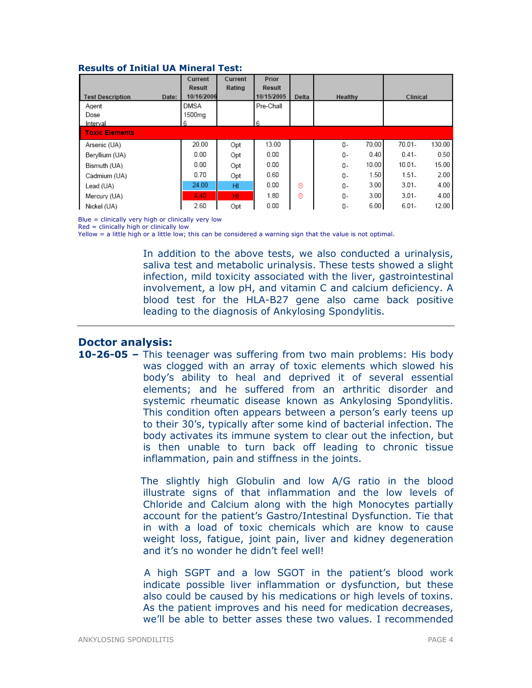| <b>Results of Initial UA Mineral Test:</b> |
|--------------------------------------------|
|--------------------------------------------|

|                                  | Current    | Current | Prior      |       |         |       |           |        |
|----------------------------------|------------|---------|------------|-------|---------|-------|-----------|--------|
|                                  | Result     | Rating  | Result     |       |         |       |           |        |
| <b>Test Description</b><br>Date: | 10/16/2006 |         | 10/15/2005 | Delta | Healthy |       | Clinical  |        |
| Agent                            | DMSA       |         | Pre-Chall  |       |         |       |           |        |
| Dose                             | 1500mg     |         |            |       |         |       |           |        |
| Interval                         | 6          |         | 6          |       |         |       |           |        |
| <b>Toxic Elements</b>            |            |         |            |       |         |       |           |        |
| Arsenic (UA)                     | 20.00      | Opt     | 13.00      |       | 0-      | 70.00 | $70.01 -$ | 130.00 |
| Beryllium (UA)                   | 0.00       | Opt     | 0.00       |       | 0-      | 0.40  | $0.41 -$  | 0.50   |
| Bismuth (UA)                     | 0.00       | Opt     | 0.00       |       | 0-      | 10.00 | $10.01 -$ | 15.00  |
| Cadmium (UA)                     | 0.70       | Opt     | 0.60       |       | 0-      | 1.50  | $1.51-$   | 2.00   |
| Lead (UA)                        | 24.00      | HI      | 0.00       | ⊛     | $0 -$   | 3.00  | $3.01 -$  | 4.00   |
| Mercury (UA)                     | 4.40       | HL.     | 1.80       | ⊛     | 0-      | 3.00  | $3.01 -$  | 4.00   |
| Nickel (UA)                      | 2.60       | Opt     | 0.00       |       | 0-      | 6.00  | $6.01 -$  | 12.00  |

Blue = clinically very high or clinically very low

Red = clinically high or clinically low

Yellow = a little high or a little low; this can be considered a warning sign that the value is not optimal.

In addition to the above tests, we also conducted a urinalysis, saliva test and metabolic urinalysis. These tests showed a slight infection, mild toxicity associated with the liver, gastrointestinal involvement, a low pH, and vitamin C and calcium deficiency. A blood test for the HLA-B27 gene also came back positive leading to the diagnosis of Ankylosing Spondylitis.

# Doctor analysis:

10-26-05 – This teenager was suffering from two main problems: His body was clogged with an array of toxic elements which slowed his body's ability to heal and deprived it of several essential elements; and he suffered from an arthritic disorder and systemic rheumatic disease known as Ankylosing Spondylitis. This condition often appears between a person's early teens up to their 30's, typically after some kind of bacterial infection. The body activates its immune system to clear out the infection, but is then unable to turn back off leading to chronic tissue inflammation, pain and stiffness in the joints.

> The slightly high Globulin and low A/G ratio in the blood illustrate signs of that inflammation and the low levels of Chloride and Calcium along with the high Monocytes partially account for the patient's Gastro/Intestinal Dysfunction. Tie that in with a load of toxic chemicals which are know to cause weight loss, fatigue, joint pain, liver and kidney degeneration and it's no wonder he didn't feel well!

> A high SGPT and a low SGOT in the patient's blood work indicate possible liver inflammation or dysfunction, but these also could be caused by his medications or high levels of toxins. As the patient improves and his need for medication decreases, we'll be able to better asses these two values. I recommended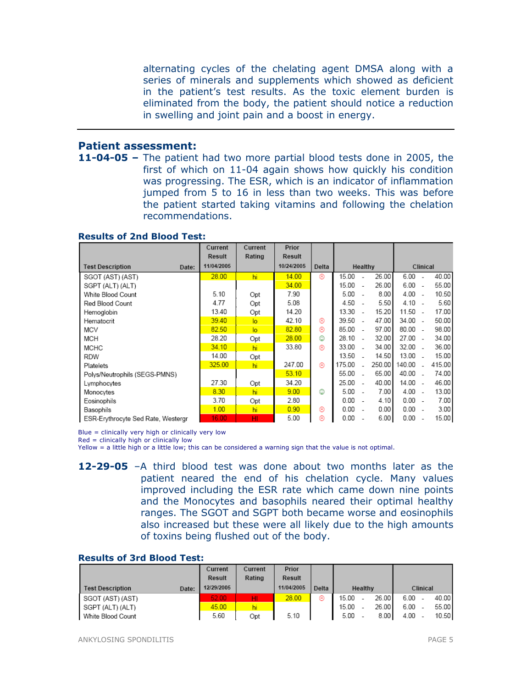alternating cycles of the chelating agent DMSA along with a series of minerals and supplements which showed as deficient in the patient's test results. As the toxic element burden is eliminated from the body, the patient should notice a reduction in swelling and joint pain and a boost in energy.

#### Patient assessment:

11-04-05 – The patient had two more partial blood tests done in 2005, the first of which on 11-04 again shows how quickly his condition was progressing. The ESR, which is an indicator of inflammation jumped from 5 to 16 in less than two weeks. This was before the patient started taking vitamins and following the chelation recommendations.

#### Results of 2nd Blood Test:

|                                    | Current       | Current        | Prior      |       |        |                          |        |           |                          |        |  |
|------------------------------------|---------------|----------------|------------|-------|--------|--------------------------|--------|-----------|--------------------------|--------|--|
|                                    | <b>Result</b> | Rating         | Result     |       |        |                          |        |           |                          |        |  |
| <b>Test Description</b><br>Date:   | 11/04/2005    |                | 10/24/2005 | Delta |        | Healthy                  |        |           | Clinical                 |        |  |
| SGOT (AST) (AST)                   | 28.00         | hi             | 14.00      | ⊛     | 15.00  | $\overline{\phantom{a}}$ | 26.00  | 6.00      | $\sim$                   | 40.00  |  |
| SGPT (ALT) (ALT)                   |               |                | 34.00      |       | 15.00  | $\sim$                   | 26.00  | 6.00      | $\overline{\phantom{a}}$ | 55.00  |  |
| White Blood Count                  | 5.10          | Opt            | 7.90       |       | 5.00   |                          | 8.00   | $4.00 -$  |                          | 10.50  |  |
| Red Blood Count                    | 4.77          | Opt            | 5.08       |       | 4.50   |                          | 5.50   | $4.10 -$  |                          | 5.60   |  |
| Hemoglobin                         | 13.40         | Opt            | 14.20      |       | 13.30  | $\sim$                   | 15.20  | 11.50     | - 1                      | 17.00  |  |
| Hematocrit                         | 39.40         | $\overline{a}$ | 42.10      | ⊛     | 39.50  |                          | 47.00  | 34.00     |                          | 50.00  |  |
| MCV                                | 82.50         | lo             | 82.80      | ⊛     | 85.00  | - 1                      | 97.00  | 80.00     | - 1                      | 98.00  |  |
| MCH                                | 28.20         | Opt            | 28.00      | ☺     | 28.10  | - 1                      | 32.00  | $27.00 -$ |                          | 34.00  |  |
| <b>MCHC</b>                        | 34.10         | hi             | 33.80      | ⊛     | 33.00  |                          | 34.00  | 32.00     |                          | 36.00  |  |
| <b>RDW</b>                         | 14.00         | Opt            |            |       | 13.50  |                          | 14.50  | $13.00 -$ |                          | 15.00  |  |
| Platelets                          | 325.00        | hi             | 247.00     | ⊛     | 175.00 |                          | 250.00 | 140.00    |                          | 415.00 |  |
| Polys/Neutrophils (SEGS-PMNS)      |               |                | 53.10      |       | 55.00  |                          | 65.00  | 40.00     | $\sim$                   | 74.00  |  |
| Lymphocytes                        | 27.30         | Opt            | 34.20      |       | 25.00  | $\overline{\phantom{a}}$ | 40.00  | 14.00     | $\overline{\phantom{a}}$ | 46.00  |  |
| Monocytes                          | 8.30          | hi             | 9.00       | ٨     | 5.00   |                          | 7.00   | 4.00      |                          | 13.00  |  |
| Eosinophils                        | 3.70          | Opt            | 2.80       |       | 0.00   |                          | 4.10   | 0.00      |                          | 7.00   |  |
| Basophils                          | 1.00          | hi             | 0.90       | ⊛     | 0.00   |                          | 0.00   | 0.00      |                          | 3.00   |  |
| ESR-Erythrocyte Sed Rate, Westergr | 16.00         | HI             | 5.00       | ⊛     | 0.00   |                          | 6.00   | 0.00      |                          | 15.00  |  |

Blue = clinically very high or clinically very low

Red = clinically high or clinically low

Yellow = a little high or a little low; this can be considered a warning sign that the value is not optimal.

12-29-05 –A third blood test was done about two months later as the patient neared the end of his chelation cycle. Many values improved including the ESR rate which came down nine points and the Monocytes and basophils neared their optimal healthy ranges. The SGOT and SGPT both became worse and eosinophils also increased but these were all likely due to the high amounts of toxins being flushed out of the body.

#### Results of 3rd Blood Test:

|                                  | Current       | Current | Prior         |       |       |         |       |          |          |       |
|----------------------------------|---------------|---------|---------------|-------|-------|---------|-------|----------|----------|-------|
|                                  | <b>Result</b> | Rating  | <b>Result</b> |       |       |         |       |          |          |       |
| <b>Test Description</b><br>Date: | 12/29/2005    |         | 11/04/2005    | Delta |       | Healthy |       |          | Clinical |       |
| SGOT (AST) (AST)                 | 52.00         | HI.     | 28.00         | ⊛     | 15.00 |         | 26.00 | 6.00     |          | 40.00 |
| SGPT (ALT) (ALT)                 | 45.00         | hi      |               |       | 15.00 |         | 26.00 | 6.00     |          | 55.00 |
| White Blood Count                | 5.60          | Opt     | 5.10          |       | 5.00  |         | 8.00  | $4.00 -$ |          | 10.50 |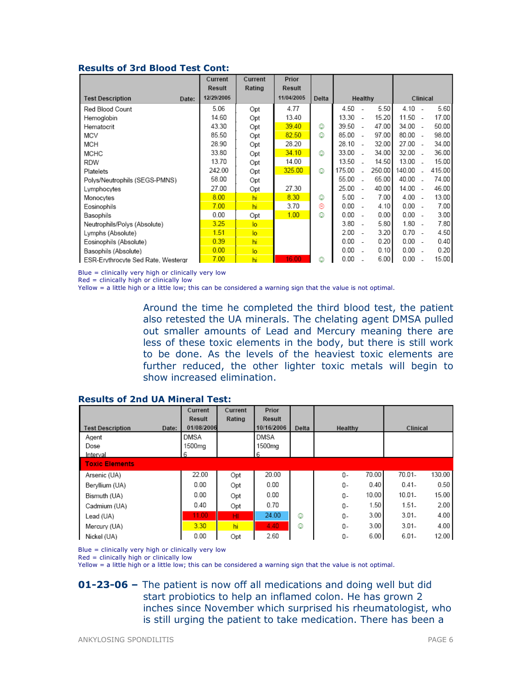#### Results of 3rd Blood Test Cont:

|                                    | Current<br>Result | Current<br>Rating | Prior<br><b>Result</b> |       |         |                          |        |           |                          |        |
|------------------------------------|-------------------|-------------------|------------------------|-------|---------|--------------------------|--------|-----------|--------------------------|--------|
| <b>Test Description</b><br>Date:   | 12/29/2005        |                   | 11/04/2005             | Delta | Healthy |                          |        |           | Clinical                 |        |
| Red Blood Count                    | 5.06              | Opt               | 4.77                   |       | 4.50    | $\overline{a}$           | 5.50   | $4.10 -$  |                          | 5.60   |
| Hemoglobin                         | 14.60             | Opt               | 13.40                  |       | 13.30   | $\sim$                   | 15.20  | $11.50 -$ |                          | 17.00  |
| Hematocrit                         | 43.30             | Opt               | 39.40                  | ٥     | 39.50   | $\sim$                   | 47.00  | $34.00 -$ |                          | 50.00  |
| <b>MCV</b>                         | 85.50             | Opt               | 82.50                  | ٥     | 85.00   | $\overline{a}$           | 97.00  | 80.00     | $\overline{\phantom{a}}$ | 98.00  |
| MCH                                | 28.90             | Opt               | 28.20                  |       | 28.10   | $\sim$                   | 32.00  | 27.00     | $\sim$                   | 34.00  |
| <b>MCHC</b>                        | 33.80             | Opt               | 34.10                  | ☺     | 33.00   |                          | 34.00  | 32.00     | $\overline{\phantom{a}}$ | 36.00  |
| <b>RDW</b>                         | 13.70             | Opt               | 14.00                  |       | 13.50   |                          | 14.50  | 13.00     |                          | 15.00  |
| Platelets                          | 242.00            | Opt               | 325.00                 | ٧     | 175.00  |                          | 250.00 | 140.00    | $\overline{\phantom{a}}$ | 415.00 |
| Polys/Neutrophils (SEGS-PMNS)      | 58.00             | Opt               |                        |       | 55.00   |                          | 65.00  | 40.00     | - 1                      | 74.00  |
| Lymphocytes                        | 27.00             | Opt               | 27.30                  |       | 25.00   | $\overline{\phantom{a}}$ | 40.00  | $14.00 -$ |                          | 46.00  |
| Monocytes                          | 8.00              | hi                | 8.30                   | ☺     | 5.00    |                          | 7.00   | 4.00      | $\overline{\phantom{a}}$ | 13.00  |
| Eosinophils                        | 7.00              | hi                | 3.70                   | ⊛     | 0.00    | ÷                        | 4.10   | 0.00      | - 1                      | 7.00   |
| Basophils                          | 0.00              | Opt               | 1.00                   | ٨     | 0.00    |                          | 0.00   | $0.00 -$  |                          | 3.00   |
| Neutrophils/Polys (Absolute)       | 3.25              | $\overline{a}$    |                        |       | 3.80    |                          | 5.80   | 1.80      | $\overline{\phantom{a}}$ | 7.80   |
| Lymphs (Absolute)                  | 1.51              | $\overline{a}$    |                        |       | 2.00    |                          | 3.20   | 0.70      | $\overline{\phantom{a}}$ | 4.50   |
| Eosinophils (Absolute)             | 0.39              | hi                |                        |       | 0.00    |                          | 0.20   | $0.00 -$  |                          | 0.40   |
| Basophils (Absolute)               | 0.00              | lo                |                        |       | 0.00    |                          | 0.10   | 0.00      |                          | 0.20   |
| ESR-Erythrocyte Sed Rate, Westergr | 7.00              | hi                | 16.00                  | ٨     | 0.00    |                          | 6.00   | 0.00      |                          | 15.00  |

Blue = clinically very high or clinically very low

Red = clinically high or clinically low

Yellow = a little high or a little low; this can be considered a warning sign that the value is not optimal.

Around the time he completed the third blood test, the patient also retested the UA minerals. The chelating agent DMSA pulled out smaller amounts of Lead and Mercury meaning there are less of these toxic elements in the body, but there is still work to be done. As the levels of the heaviest toxic elements are further reduced, the other lighter toxic metals will begin to show increased elimination.

|                                  | Current            | Current | Prior       |       |               |                    |
|----------------------------------|--------------------|---------|-------------|-------|---------------|--------------------|
|                                  | Result             | Rating  | Result      |       |               |                    |
| <b>Test Description</b><br>Date: | 01/08/2006         |         | 10/16/2006  | Delta | Healthy       | Clinical           |
| Agent                            | <b>DMSA</b>        |         | <b>DMSA</b> |       |               |                    |
| Dose                             | 1500 <sub>mg</sub> |         | 1500mg      |       |               |                    |
| Interval                         | 6                  |         | 6           |       |               |                    |
| <b>Toxic Elements</b>            |                    |         |             |       |               |                    |
| Arsenic (UA)                     | 22.00              | Opt     | 20.00       |       | 70.00<br>0-   | 130.00<br>70.01-   |
| Beryllium (UA)                   | 0.00               | Opt     | 0.00        |       | 0.40<br>0-    | 0.50<br>$0.41 -$   |
| Bismuth (UA)                     | 0.00               | Opt     | 0.00        |       | 10.00<br>0-   | $10.01 -$<br>15.00 |
| Cadmium (UA)                     | 0.40               | Opt     | 0.70        |       | 1.50<br>$0 -$ | 2.00<br>$1.51-$    |
| Lead (UA)                        | 11.00              | HI.     | 24.00       | ٧     | 3.00<br>0-    | $3.01 -$<br>4.00   |
| Mercury (UA)                     | 3.30               | hi      | 4.40        | ٧     | 3.00<br>0-    | $3.01 -$<br>4.00   |
| Nickel (UA)                      | 0.00               | Opt     | 2.60        |       | 6.00<br>0-    | $6.01 -$<br>12.00  |

#### Results of 2nd UA Mineral Test:

Blue = clinically very high or clinically very low

Red = clinically high or clinically low

Yellow = a little high or a little low; this can be considered a warning sign that the value is not optimal.

01-23-06 – The patient is now off all medications and doing well but did start probiotics to help an inflamed colon. He has grown 2 inches since November which surprised his rheumatologist, who is still urging the patient to take medication. There has been a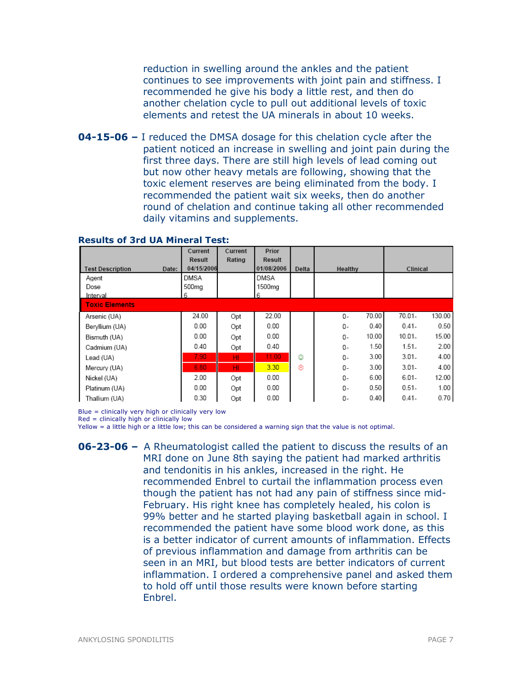reduction in swelling around the ankles and the patient continues to see improvements with joint pain and stiffness. I recommended he give his body a little rest, and then do another chelation cycle to pull out additional levels of toxic elements and retest the UA minerals in about 10 weeks.

**04-15-06 –** I reduced the DMSA dosage for this chelation cycle after the patient noticed an increase in swelling and joint pain during the first three days. There are still high levels of lead coming out but now other heavy metals are following, showing that the toxic element reserves are being eliminated from the body. I recommended the patient wait six weeks, then do another round of chelation and continue taking all other recommended daily vitamins and supplements.

|                                  | Current<br><b>Result</b> | Current<br>Rating | Prior<br><b>Result</b> |       |             |                     |
|----------------------------------|--------------------------|-------------------|------------------------|-------|-------------|---------------------|
| <b>Test Description</b><br>Date: | 04/15/2006               |                   | 01/08/2006             | Delta | Healthy     | Clinical            |
| Agent                            | DMSA                     |                   | DMSA                   |       |             |                     |
| Dose                             | 500mg                    |                   | 1500mg                 |       |             |                     |
| Interval                         | 6                        |                   | 6                      |       |             |                     |
| <b>Toxic Elements</b>            |                          |                   |                        |       |             |                     |
| Arsenic (UA)                     | 24.00                    | Opt               | 22.00                  |       | 70.00<br>0- | $70.01 -$<br>130.00 |
| Beryllium (UA)                   | 0.00                     | Opt               | 0.00                   |       | 0.40<br>0-  | $0.41 -$<br>0.50    |
| Bismuth (UA)                     | 0.00                     | Opt               | 0.00                   |       | 10.00<br>0- | $10.01 -$<br>15.00  |
| Cadmium (UA)                     | 0.40                     | Opt               | 0.40                   |       | 1.50<br>0-  | $1.51-$<br>2.00     |
| Lead (UA)                        | 7.90.                    | HI                | 11.00                  | ٧     | 3.00<br>0-  | $3.01 -$<br>4.00    |
| Mercury (UA)                     | 6.80                     | HI                | 3.30                   | ⊛     | 3.00<br>0-  | $3.01 -$<br>4.00    |
| Nickel (UA)                      | 2.00                     | Opt               | 0.00                   |       | 6.00<br>0-  | $6.01 -$<br>12.00   |
| Platinum (UA)                    | 0.00                     | Opt               | 0.00                   |       | 0.50<br>0-  | $0.51 -$<br>1.00    |
| Thallium (UA)                    | 0.30                     | Opt               | 0.00                   |       | 0.40<br>0-  | 0.70<br>$0.41 -$    |

#### Results of 3rd UA Mineral Test:

Blue = clinically very high or clinically very low

Red = clinically high or clinically low

Yellow = a little high or a little low; this can be considered a warning sign that the value is not optimal.

**06-23-06 –** A Rheumatologist called the patient to discuss the results of an MRI done on June 8th saying the patient had marked arthritis and tendonitis in his ankles, increased in the right. He recommended Enbrel to curtail the inflammation process even though the patient has not had any pain of stiffness since mid-February. His right knee has completely healed, his colon is 99% better and he started playing basketball again in school. I recommended the patient have some blood work done, as this is a better indicator of current amounts of inflammation. Effects of previous inflammation and damage from arthritis can be seen in an MRI, but blood tests are better indicators of current inflammation. I ordered a comprehensive panel and asked them to hold off until those results were known before starting Enbrel.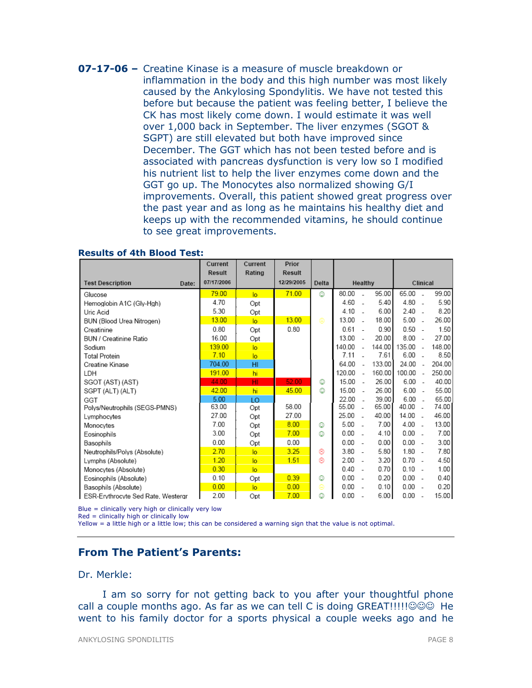07-17-06 – Creatine Kinase is a measure of muscle breakdown or inflammation in the body and this high number was most likely caused by the Ankylosing Spondylitis. We have not tested this before but because the patient was feeling better, I believe the CK has most likely come down. I would estimate it was well over 1,000 back in September. The liver enzymes (SGOT & SGPT) are still elevated but both have improved since December. The GGT which has not been tested before and is associated with pancreas dysfunction is very low so I modified his nutrient list to help the liver enzymes come down and the GGT go up. The Monocytes also normalized showing G/I improvements. Overall, this patient showed great progress over the past year and as long as he maintains his healthy diet and keeps up with the recommended vitamins, he should continue to see great improvements.

|                                    | Current       | Current        | Prior         |       |          |                          |        |           |                          |        |
|------------------------------------|---------------|----------------|---------------|-------|----------|--------------------------|--------|-----------|--------------------------|--------|
|                                    | <b>Result</b> | Rating         | <b>Result</b> |       |          |                          |        |           |                          |        |
| <b>Test Description</b><br>Date:   | 07/17/2006    |                | 12/29/2005    | Delta |          | Healthy                  |        |           | Clinical                 |        |
| Glucose                            | 79.00         | lo             | 71.00         | ٧     | 80.00    | $\overline{a}$           | 95.00  | 65.00     | $\sim$                   | 99.00  |
| Hemoglobin A1C (Gly-Hgh)           | 4.70          | Opt            |               |       | 4.60     | ÷.                       | 5.40   | 4.80      | $\overline{\phantom{a}}$ | 5.90   |
| Uric Acid                          | 5.30          | Opt            |               |       | $4.10 -$ |                          | 6.00   | $2.40 -$  |                          | 8.20   |
| BUN (Blood Urea Nitrogen)          | 13.00         | $\overline{a}$ | 13.00         | ⊜     | 13.00    | - 1                      | 18.00  | 5.00      | $\sim$                   | 26.00  |
| Creatinine                         | 0.80          | Opt            | 0.80          |       | 0.61     |                          | 0.90   | $0.50 -$  |                          | 1.50   |
| BUN / Creatinine Ratio             | 16.00         | Opt            |               |       | 13.00    | $\overline{\phantom{a}}$ | 20.00  | 8.00      | $\overline{\phantom{a}}$ | 27.00  |
| Sodium                             | 139.00        | lo.            |               |       | 140.00   |                          | 144.00 | 135.00    | ٠.                       | 148.00 |
| <b>Total Protein</b>               | 7.10          | lo.            |               |       | 7.11     |                          | 7.61   | 6.00      | - 1                      | 8.50   |
| Creatine Kinase                    | 704.00        | HI             |               |       | 64.00    | ۰.                       | 133.00 | 24.00     | ÷.                       | 204.00 |
| LDH                                | 191.00        | hi             |               |       | 120.00   | $\overline{\phantom{a}}$ | 160.00 | 100.00    | $\sim$                   | 250.00 |
| SGOT (AST) (AST)                   | 44.00         | HI             | 52.00         | ☺     | 15.00    | $\sim$                   | 26.00  | $6.00 -$  |                          | 40.00  |
| SGPT (ALT) (ALT)                   | 42.00         | hi             | 45.00         | ☺     | 15.00    | $\sim$                   | 26.00  | $6.00 -$  |                          | 55.00  |
| GGT                                | 5.00          | <b>LO</b>      |               |       | 22.00    | $\overline{a}$           | 39.00  | $6.00 -$  |                          | 65.00  |
| Polys/Neutrophils (SEGS-PMNS)      | 63.00         | Opt            | 58.00         |       | 55.00    | $\overline{\phantom{a}}$ | 65.00  | 40.00 -   |                          | 74.00  |
| Lymphocytes                        | 27.00         | Opt            | 27.00         |       | 25.00    | $\sim$                   | 40.00  | $14.00 -$ |                          | 46.00  |
| Monocytes                          | 7.00          | Opt            | 8.00          | ٧     | 5.00     | $\overline{\phantom{a}}$ | 7.00   | $4.00 -$  |                          | 13.00  |
| Eosinophils                        | 3.00          | Opt            | 7.00          | ٨     | 0.00     |                          | 4.10   | 0.00      | $\overline{\phantom{a}}$ | 7.00   |
| Basophils                          | 0.00          | Opt            | 0.00          |       | 0.00     | $\overline{a}$           | 0.00   | $0.00 -$  |                          | 3.00   |
| Neutrophils/Polys (Absolute)       | 2.70          | lo             | 3.25          | ⊛     | $3.80 -$ |                          | 5.80   | $1.80 -$  |                          | 7.80   |
| Lymphs (Absolute)                  | 1.20          | $\overline{a}$ | 1.51          | ⊛     | 2.00     | $\sim$                   | 3.20   | $0.70 -$  |                          | 4.50   |
| Monocytes (Absolute)               | 0.30          | $\overline{a}$ |               |       | 0.40     | $\overline{\phantom{a}}$ | 0.70   | $0.10 -$  |                          | 1.00   |
| Eosinophils (Absolute)             | 0.10          | Opt            | 0.39          | ٨     | 0.00     | $\overline{\phantom{a}}$ | 0.20   | $0.00 -$  |                          | 0.40   |
| Basophils (Absolute)               | 0.00          | $\overline{a}$ | 0.00          | ⊜     | 0.00     | $\overline{\phantom{a}}$ | 0.10   | $0.00 -$  |                          | 0.20   |
| ESR-Erythrocyte Sed Rate, Westergr | 2.00          | Opt            | 7.00          | ٨     | 0.00     |                          | 6.00   | 0.00      | $\overline{\phantom{a}}$ | 15.00  |

### Results of 4th Blood Test:

Blue = clinically very high or clinically very low

 $Red =$  clinically high or clinically low

Yellow = a little high or a little low; this can be considered a warning sign that the value is not optimal.

# From The Patient's Parents:

Dr. Merkle:

I am so sorry for not getting back to you after your thoughtful phone call a couple months ago. As far as we can tell C is doing GREAT!!!!!☺☺☺ He went to his family doctor for a sports physical a couple weeks ago and he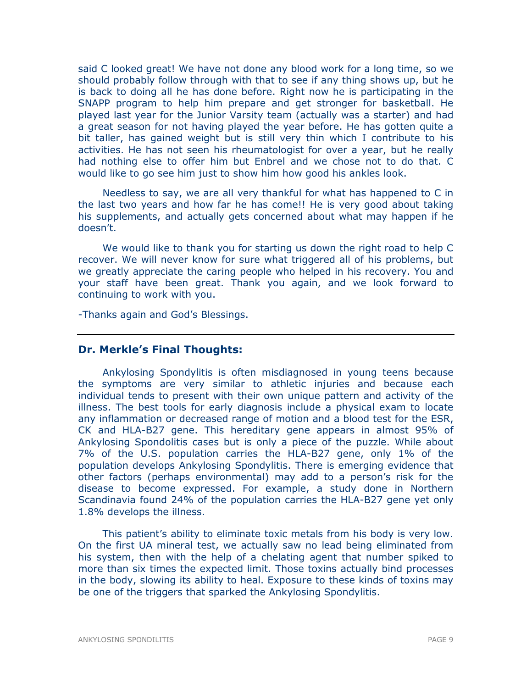said C looked great! We have not done any blood work for a long time, so we should probably follow through with that to see if any thing shows up, but he is back to doing all he has done before. Right now he is participating in the SNAPP program to help him prepare and get stronger for basketball. He played last year for the Junior Varsity team (actually was a starter) and had a great season for not having played the year before. He has gotten quite a bit taller, has gained weight but is still very thin which I contribute to his activities. He has not seen his rheumatologist for over a year, but he really had nothing else to offer him but Enbrel and we chose not to do that. C would like to go see him just to show him how good his ankles look.

Needless to say, we are all very thankful for what has happened to C in the last two years and how far he has come!! He is very good about taking his supplements, and actually gets concerned about what may happen if he doesn't.

We would like to thank you for starting us down the right road to help C recover. We will never know for sure what triggered all of his problems, but we greatly appreciate the caring people who helped in his recovery. You and your staff have been great. Thank you again, and we look forward to continuing to work with you.

-Thanks again and God's Blessings.

# Dr. Merkle's Final Thoughts:

Ankylosing Spondylitis is often misdiagnosed in young teens because the symptoms are very similar to athletic injuries and because each individual tends to present with their own unique pattern and activity of the illness. The best tools for early diagnosis include a physical exam to locate any inflammation or decreased range of motion and a blood test for the ESR, CK and HLA-B27 gene. This hereditary gene appears in almost 95% of Ankylosing Spondolitis cases but is only a piece of the puzzle. While about 7% of the U.S. population carries the HLA-B27 gene, only 1% of the population develops Ankylosing Spondylitis. There is emerging evidence that other factors (perhaps environmental) may add to a person's risk for the disease to become expressed. For example, a study done in Northern Scandinavia found 24% of the population carries the HLA-B27 gene yet only 1.8% develops the illness.

This patient's ability to eliminate toxic metals from his body is very low. On the first UA mineral test, we actually saw no lead being eliminated from his system, then with the help of a chelating agent that number spiked to more than six times the expected limit. Those toxins actually bind processes in the body, slowing its ability to heal. Exposure to these kinds of toxins may be one of the triggers that sparked the Ankylosing Spondylitis.